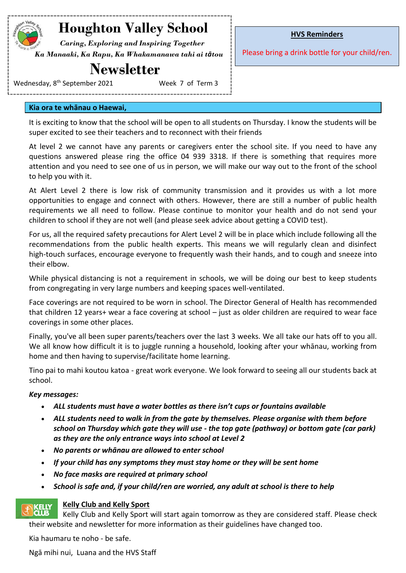# **Houghton Valley School**

 *Caring, Exploring and Inspiring Together Ka Manaaki, Ka Rapu, Ka Whakamanawa tahi ai tātou*

## **Newsletter**

Wednesday, 8<sup>th</sup> September 2021 **Week 7 of Term 3** 

**HVS Reminders**

Please bring a drink bottle for your child/ren.

#### **Kia ora te whānau o Haewai,**

It is exciting to know that the school will be open to all students on Thursday. I know the students will be super excited to see their teachers and to reconnect with their friends

At level 2 we cannot have any parents or caregivers enter the school site. If you need to have any questions answered please ring the office 04 939 3318. If there is something that requires more attention and you need to see one of us in person, we will make our way out to the front of the school to help you with it.

At Alert Level 2 there is low risk of community transmission and it provides us with a lot more opportunities to engage and connect with others. However, there are still a number of public health requirements we all need to follow. Please continue to monitor your health and do not send your children to school if they are not well (and please seek advice about getting a COVID test).

For us, all the required safety precautions for Alert Level 2 will be in place which include following all the recommendations from the public health experts. This means we will regularly clean and disinfect high-touch surfaces, encourage everyone to frequently wash their hands, and to cough and sneeze into their elbow.

While physical distancing is not a requirement in schools, we will be doing our best to keep students from congregating in very large numbers and keeping spaces well-ventilated.

Face coverings are not required to be worn in school. The Director General of Health has recommended that children 12 years+ wear a face covering at school – just as older children are required to wear face coverings in some other places.

Finally, you've all been super parents/teachers over the last 3 weeks. We all take our hats off to you all. We all know how difficult it is to juggle running a household, looking after your whānau, working from home and then having to supervise/facilitate home learning.

Tino pai to mahi koutou katoa - great work everyone. We look forward to seeing all our students back at school.

### *Key messages:*

- *ALL students must have a water bottles as there isn't cups or fountains available*
- *ALL students need to walk in from the gate by themselves. Please organise with them before school on Thursday which gate they will use - the top gate (pathway) or bottom gate (car park) as they are the only entrance ways into school at Level 2*
- *No parents or whānau are allowed to enter school*
- *If your child has any symptoms they must stay home or they will be sent home*
- *No face masks are required at primary school*
- *School is safe and, if your child/ren are worried, any adult at school is there to help*

### **Kelly Club and Kelly Sport**

**KELLY**<br>CLUB Kelly Club and Kelly Sport will start again tomorrow as they are considered staff. Please check their website and newsletter for more information as their guidelines have changed too.

Kia haumaru te noho - be safe.

Ngā mihi nui, Luana and the HVS Staff